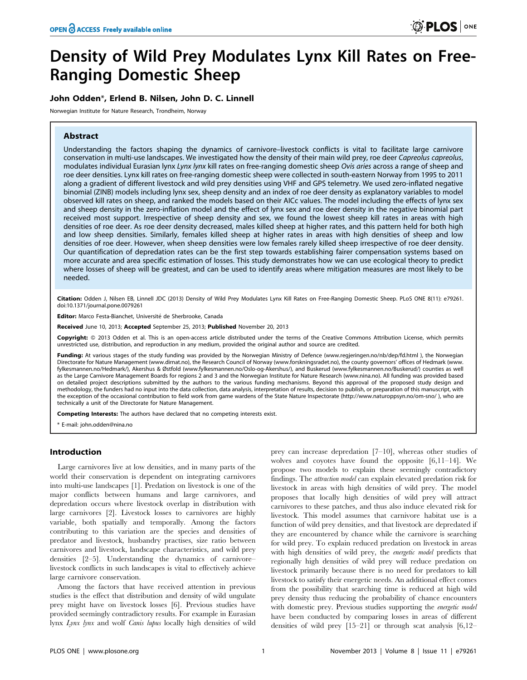# Density of Wild Prey Modulates Lynx Kill Rates on Free-Ranging Domestic Sheep

# John Odden\*, Erlend B. Nilsen, John D. C. Linnell

Norwegian Institute for Nature Research, Trondheim, Norway

# Abstract

Understanding the factors shaping the dynamics of carnivore–livestock conflicts is vital to facilitate large carnivore conservation in multi-use landscapes. We investigated how the density of their main wild prey, roe deer Capreolus capreolus, modulates individual Eurasian lynx Lynx lynx kill rates on free-ranging domestic sheep Ovis aries across a range of sheep and roe deer densities. Lynx kill rates on free-ranging domestic sheep were collected in south-eastern Norway from 1995 to 2011 along a gradient of different livestock and wild prey densities using VHF and GPS telemetry. We used zero-inflated negative binomial (ZINB) models including lynx sex, sheep density and an index of roe deer density as explanatory variables to model observed kill rates on sheep, and ranked the models based on their AICc values. The model including the effects of lynx sex and sheep density in the zero-inflation model and the effect of lynx sex and roe deer density in the negative binomial part received most support. Irrespective of sheep density and sex, we found the lowest sheep kill rates in areas with high densities of roe deer. As roe deer density decreased, males killed sheep at higher rates, and this pattern held for both high and low sheep densities. Similarly, females killed sheep at higher rates in areas with high densities of sheep and low densities of roe deer. However, when sheep densities were low females rarely killed sheep irrespective of roe deer density. Our quantification of depredation rates can be the first step towards establishing fairer compensation systems based on more accurate and area specific estimation of losses. This study demonstrates how we can use ecological theory to predict where losses of sheep will be greatest, and can be used to identify areas where mitigation measures are most likely to be needed.

Citation: Odden J, Nilsen EB, Linnell JDC (2013) Density of Wild Prey Modulates Lynx Kill Rates on Free-Ranging Domestic Sheep. PLoS ONE 8(11): e79261. doi:10.1371/journal.pone.0079261

Editor: Marco Festa-Bianchet, Université de Sherbrooke, Canada

Received June 10, 2013; Accepted September 25, 2013; Published November 20, 2013

Copyright: © 2013 Odden et al. This is an open-access article distributed under the terms of the Creative Commons Attribution License, which permits unrestricted use, distribution, and reproduction in any medium, provided the original author and source are credited.

Funding: At various stages of the study funding was provided by the Norwegian Ministry of Defence (www.regjeringen.no/nb/dep/fd.html), the Norwegian Directorate for Nature Management (www.dirnat.no), the Research Council of Norway (www.forskningsradet.no), the county governors' offices of Hedmark (www. fylkesmannen.no/Hedmark/), Akershus & Østfold (www.fylkesmannen.no/Oslo-og-Akershus/), and Buskerud (www.fylkesmannen.no/Buskerud/) counties as well as the Large Carnivore Management Boards for regions 2 and 3 and the Norwegian Institute for Nature Research (www.nina.no). All funding was provided based on detailed project descriptions submitted by the authors to the various funding mechanisms. Beyond this approval of the proposed study design and methodology, the funders had no input into the data collection, data analysis, interpretation of results, decision to publish, or preparation of this manuscript, with the exception of the occasional contribution to field work from game wardens of the State Nature Inspectorate (http://www.naturoppsyn.no/om-sno/ ), who are technically a unit of the Directorate for Nature Management.

Competing Interests: The authors have declared that no competing interests exist.

\* E-mail: john.odden@nina.no

# Introduction

Large carnivores live at low densities, and in many parts of the world their conservation is dependent on integrating carnivores into multi-use landscapes [1]. Predation on livestock is one of the major conflicts between humans and large carnivores, and depredation occurs where livestock overlap in distribution with large carnivores [2]. Livestock losses to carnivores are highly variable, both spatially and temporally. Among the factors contributing to this variation are the species and densities of predator and livestock, husbandry practises, size ratio between carnivores and livestock, landscape characteristics, and wild prey densities [2–5]. Understanding the dynamics of carnivore– livestock conflicts in such landscapes is vital to effectively achieve large carnivore conservation.

Among the factors that have received attention in previous studies is the effect that distribution and density of wild ungulate prey might have on livestock losses [6]. Previous studies have provided seemingly contradictory results. For example in Eurasian lynx Lynx lynx and wolf Canis lupus locally high densities of wild prey can increase depredation [7–10], whereas other studies of wolves and coyotes have found the opposite [6,11–14]. We propose two models to explain these seemingly contradictory findings. The attraction model can explain elevated predation risk for livestock in areas with high densities of wild prey. The model proposes that locally high densities of wild prey will attract carnivores to these patches, and thus also induce elevated risk for livestock. This model assumes that carnivore habitat use is a function of wild prey densities, and that livestock are depredated if they are encountered by chance while the carnivore is searching for wild prey. To explain reduced predation on livestock in areas with high densities of wild prey, the *energetic model* predicts that regionally high densities of wild prey will reduce predation on livestock primarily because there is no need for predators to kill livestock to satisfy their energetic needs. An additional effect comes from the possibility that searching time is reduced at high wild prey density thus reducing the probability of chance encounters with domestic prey. Previous studies supporting the *energetic model* have been conducted by comparing losses in areas of different densities of wild prey [15–21] or through scat analysis [6,12–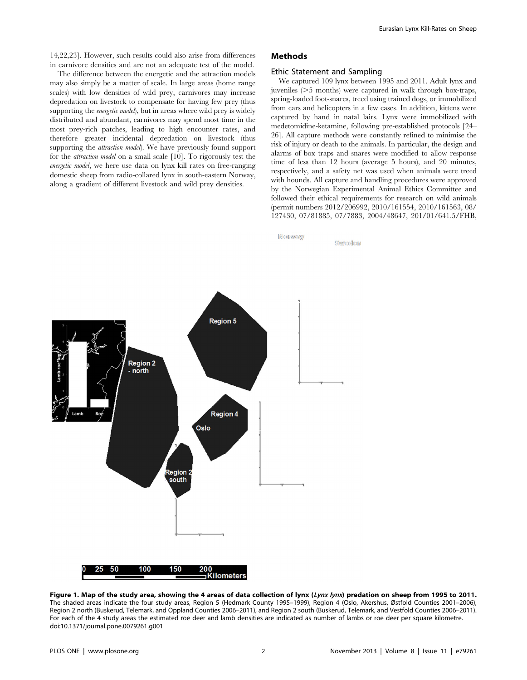14,22,23]. However, such results could also arise from differences in carnivore densities and are not an adequate test of the model.

The difference between the energetic and the attraction models may also simply be a matter of scale. In large areas (home range scales) with low densities of wild prey, carnivores may increase depredation on livestock to compensate for having few prey (thus supporting the *energetic model*), but in areas where wild prey is widely distributed and abundant, carnivores may spend most time in the most prey-rich patches, leading to high encounter rates, and therefore greater incidental depredation on livestock (thus supporting the *attraction model*). We have previously found support for the attraction model on a small scale [10]. To rigorously test the energetic model, we here use data on lynx kill rates on free-ranging domestic sheep from radio-collared lynx in south-eastern Norway, along a gradient of different livestock and wild prey densities.

# Methods

NORWAN

#### Ethic Statement and Sampling

We captured 109 lynx between 1995 and 2011. Adult lynx and juveniles  $(>=5$  months) were captured in walk through box-traps, spring-loaded foot-snares, treed using trained dogs, or immobilized from cars and helicopters in a few cases. In addition, kittens were captured by hand in natal lairs. Lynx were immobilized with medetomidine-ketamine, following pre-established protocols [24– 26]. All capture methods were constantly refined to minimise the risk of injury or death to the animals. In particular, the design and alarms of box traps and snares were modified to allow response time of less than 12 hours (average 5 hours), and 20 minutes, respectively, and a safety net was used when animals were treed with hounds. All capture and handling procedures were approved by the Norwegian Experimental Animal Ethics Committee and followed their ethical requirements for research on wild animals (permit numbers 2012/206992, 2010/161554, 2010/161563, 08/ 127430, 07/81885, 07/7883, 2004/48647, 201/01/641.5/FHB,

Showerdleam



Figure 1. Map of the study area, showing the 4 areas of data collection of lynx (Lynx lynx) predation on sheep from 1995 to 2011. The shaded areas indicate the four study areas, Region 5 (Hedmark County 1995–1999), Region 4 (Oslo, Akershus, Østfold Counties 2001–2006), Region 2 north (Buskerud, Telemark, and Oppland Counties 2006–2011), and Region 2 south (Buskerud, Telemark, and Vestfold Counties 2006–2011). For each of the 4 study areas the estimated roe deer and lamb densities are indicated as number of lambs or roe deer per square kilometre. doi:10.1371/journal.pone.0079261.g001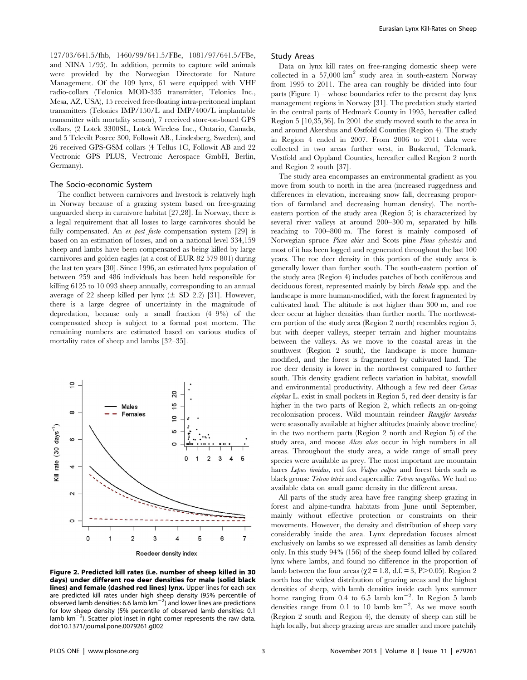127/03/641.5/fhb, 1460/99/641.5/FBe, 1081/97/641.5/FBe, and NINA 1/95). In addition, permits to capture wild animals were provided by the Norwegian Directorate for Nature Management. Of the 109 lynx, 61 were equipped with VHF radio-collars (Telonics MOD-335 transmitter, Telonics Inc., Mesa, AZ, USA), 15 received free-floating intra-peritoneal implant transmitters (Telonics IMP/150/L and IMP/400/L implantable transmitter with mortality sensor), 7 received store-on-board GPS collars, (2 Lotek 3300SL, Lotek Wireless Inc., Ontario, Canada, and 5 Televilt Posrec 300, Followit AB., Lindesberg, Sweden), and 26 received GPS-GSM collars (4 Tellus 1C, Followit AB and 22 Vectronic GPS PLUS, Vectronic Aerospace GmbH, Berlin, Germany).

#### The Socio-economic System

The conflict between carnivores and livestock is relatively high in Norway because of a grazing system based on free-grazing unguarded sheep in carnivore habitat [27,28]. In Norway, there is a legal requirement that all losses to large carnivores should be fully compensated. An ex post facto compensation system [29] is based on an estimation of losses, and on a national level 334,159 sheep and lambs have been compensated as being killed by large carnivores and golden eagles (at a cost of EUR 82 579 801) during the last ten years [30]. Since 1996, an estimated lynx population of between 259 and 486 individuals has been held responsible for killing 6125 to 10 093 sheep annually, corresponding to an annual average of 22 sheep killed per lynx  $(\pm$  SD 2.2) [31]. However, there is a large degree of uncertainty in the magnitude of depredation, because only a small fraction (4–9%) of the compensated sheep is subject to a formal post mortem. The remaining numbers are estimated based on various studies of mortality rates of sheep and lambs [32–35].



Figure 2. Predicted kill rates (i.e. number of sheep killed in 30 days) under different roe deer densities for male (solid black lines) and female (dashed red lines) lynx. Upper lines for each sex are predicted kill rates under high sheep density (95% percentile of observed lamb densities: 6.6 lamb  $km^{-2}$ ) and lower lines are predictions for low sheep density (5% percentile of observed lamb densities: 0.1 lamb  $km^{-2}$ ). Scatter plot inset in right corner represents the raw data. doi:10.1371/journal.pone.0079261.g002

#### Study Areas

Data on lynx kill rates on free-ranging domestic sheep were collected in a 57,000 km2 study area in south-eastern Norway from 1995 to 2011. The area can roughly be divided into four parts (Figure 1) – whose boundaries refer to the present day lynx management regions in Norway [31]. The predation study started in the central parts of Hedmark County in 1995, hereafter called Region 5 [10,35,36]. In 2001 the study moved south to the area in and around Akershus and Østfold Counties (Region 4). The study in Region 4 ended in 2007. From 2006 to 2011 data were collected in two areas further west, in Buskerud, Telemark, Vestfold and Oppland Counties, hereafter called Region 2 north and Region 2 south [37].

The study area encompasses an environmental gradient as you move from south to north in the area (increased ruggedness and differences in elevation, increasing snow fall, decreasing proportion of farmland and decreasing human density). The northeastern portion of the study area (Region 5) is characterized by several river valleys at around 200–300 m, separated by hills reaching to 700–800 m. The forest is mainly composed of Norwegian spruce Picea abies and Scots pine Pinus sylvestris and most of it has been logged and regenerated throughout the last 100 years. The roe deer density in this portion of the study area is generally lower than further south. The south-eastern portion of the study area (Region 4) includes patches of both coniferous and deciduous forest, represented mainly by birch Betula spp. and the landscape is more human-modified, with the forest fragmented by cultivated land. The altitude is not higher than 300 m, and roe deer occur at higher densities than further north. The northwestern portion of the study area (Region 2 north) resembles region 5, but with deeper valleys, steeper terrain and higher mountains between the valleys. As we move to the coastal areas in the southwest (Region 2 south), the landscape is more humanmodified, and the forest is fragmented by cultivated land. The roe deer density is lower in the northwest compared to further south. This density gradient reflects variation in habitat, snowfall and environmental productivity. Although a few red deer Cervus elaphus L. exist in small pockets in Region 5, red deer density is far higher in the two parts of Region 2, which reflects an on-going recolonisation process. Wild mountain reindeer Rangifer tarandus were seasonally available at higher altitudes (mainly above treeline) in the two northern parts (Region 2 north and Region 5) of the study area, and moose Alces alces occur in high numbers in all areas. Throughout the study area, a wide range of small prey species were available as prey. The most important are mountain hares Lepus timidus, red fox Vulpes vulpes and forest birds such as black grouse Tetrao tetrix and capercaillie Tetrao urogallus. We had no available data on small game density in the different areas.

All parts of the study area have free ranging sheep grazing in forest and alpine-tundra habitats from June until September, mainly without effective protection or constraints on their movements. However, the density and distribution of sheep vary considerably inside the area. Lynx depredation focuses almost exclusively on lambs so we expressed all densities as lamb density only. In this study 94% (156) of the sheep found killed by collared lynx where lambs, and found no difference in the proportion of lamb between the four areas ( $\chi$ 2 = 1.8, d.f. = 3, P>0.05). Region 2 north has the widest distribution of grazing areas and the highest densities of sheep, with lamb densities inside each lynx summer home ranging from  $0.4$  to  $6.5$  lamb  $km^{-2}$ . In Region 5 lamb densities range from 0.1 to 10 lamb  $km^{-2}$ . As we move south (Region 2 south and Region 4), the density of sheep can still be high locally, but sheep grazing areas are smaller and more patchily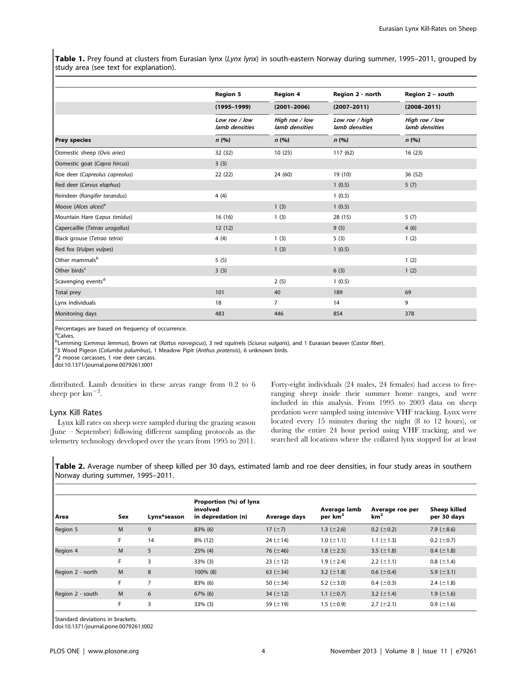Table 1. Prey found at clusters from Eurasian lynx (Lynx lynx) in south-eastern Norway during summer, 1995–2011, grouped by study area (see text for explanation).

|                                  | <b>Region 5</b>                 | <b>Region 4</b>                          | Region 2 - north                 | Region 2 - south<br>$(2008 - 2011)$<br>High roe / low<br>lamb densities |  |
|----------------------------------|---------------------------------|------------------------------------------|----------------------------------|-------------------------------------------------------------------------|--|
|                                  | $(1995 - 1999)$                 | $(2001 - 2006)$                          | $(2007 - 2011)$                  |                                                                         |  |
|                                  | Low roe / low<br>lamb densities | High roe / low<br>lamb densities<br>n(%) | Low roe / high<br>lamb densities |                                                                         |  |
| <b>Prey species</b>              | n(%)                            |                                          | n(%)                             | n(%)                                                                    |  |
| Domestic sheep (Ovis aries)      | 32 (32)                         | 10(25)                                   | 117 (62)                         | 16(23)                                                                  |  |
| Domestic goat (Capra hircus)     | 3(3)                            |                                          |                                  |                                                                         |  |
| Roe deer (Capreolus capreolus)   | 22(22)                          | 24 (60)                                  | 19 (10)                          | 36 (52)                                                                 |  |
| Red deer (Cervus elaphus)        |                                 |                                          | 1(0.5)                           | 5(7)                                                                    |  |
| Reindeer (Rangifer tarandus)     | 4(4)                            |                                          | 1(0.5)                           |                                                                         |  |
| Moose (Alces alces) <sup>a</sup> |                                 | 1(3)                                     | 1(0.5)                           |                                                                         |  |
| Mountain Hare (Lepus timidus)    | 16(16)                          | 1(3)                                     | 28 (15)                          | 5(7)                                                                    |  |
| Capercaillie (Tetrao urogallus)  | 12(12)                          |                                          | 9(5)                             | 4(6)                                                                    |  |
| Black grouse (Tetrao tetrix)     | 4(4)                            | 1(3)                                     | 5(3)                             | 1(2)                                                                    |  |
| Red fox (Vulpes vulpes)          |                                 | 1(3)                                     | 1(0.5)                           |                                                                         |  |
| Other mammals <sup>b</sup>       | 5(5)                            |                                          |                                  | 1(2)                                                                    |  |
| Other birds <sup>c</sup>         | 3(3)                            |                                          | 6(3)                             | 1(2)                                                                    |  |
| Scavenging events <sup>d</sup>   |                                 | 2(5)                                     | 1(0.5)                           |                                                                         |  |
| Total prey                       | 101                             | 40                                       | 189                              | 69                                                                      |  |
| Lynx individuals                 | 18                              | $\overline{7}$                           | 14                               | 9                                                                       |  |
| Monitoring days                  | 483                             | 446                                      | 854                              | 378                                                                     |  |

Percentages are based on frequency of occurrence.

<sup>a</sup>Calves.

b<sub>Lemming (Lemmus lemmus), Brown rat (Rattus norvegicus), 3 red squirrels (Sciurus vulgaris), and 1 Eurasian beaver (Castor fiber).<br>S3 Wood Bigeon (Columba nalumbus), 1 Maadow Bipit (Anthus pratensis), 6 unknown birds</sub>

<sup>c</sup>3 Wood Pigeon (Columba palumbus), 1 Meadow Pipit (Anthus pratensis), 6 unknown birds.

<sup>d</sup>2 moose carcasses, 1 roe deer carcass.

doi:10.1371/journal.pone.0079261.t001

distributed. Lamb densities in these areas range from 0.2 to 6 sheep per  $km^{-2}$ .

# Lynx Kill Rates

Lynx kill rates on sheep were sampled during the grazing season (June – September) following different sampling protocols as the telemetry technology developed over the years from 1995 to 2011. Forty-eight individuals (24 males, 24 females) had access to freeranging sheep inside their summer home ranges, and were included in this analysis. From 1995 to 2003 data on sheep predation were sampled using intensive VHF tracking. Lynx were located every 15 minutes during the night (8 to 12 hours), or during the entire 24 hour period using VHF tracking, and we searched all locations where the collared lynx stopped for at least

Table 2. Average number of sheep killed per 30 days, estimated lamb and roe deer densities, in four study areas in southern Norway during summer, 1995–2011.

| l Area           | Sex | Lynx*season | Proportion (%) of lynx<br>involved<br>in depredation (n) | Average days   | Average lamb<br>per km <sup>2</sup> | Average roe per<br>km <sup>2</sup> | Sheep killed<br>per 30 days |
|------------------|-----|-------------|----------------------------------------------------------|----------------|-------------------------------------|------------------------------------|-----------------------------|
| Region 5         | M   | 9           | 83% (6)                                                  | 17 $(\pm 7)$   | 1.3 $(\pm 2.6)$                     | 0.2 $(\pm 0.2)$                    | 7.9 ( $\pm$ 8.6)            |
|                  | F.  | 14          | 8% (12)                                                  | 24 $(\pm 14)$  | $1.0$ ( $\pm$ 1.1)                  | 1.1 $(\pm 1.3)$                    | $0.2~(\pm 0.7)$             |
| Region 4         | M   | 5           | $25\%$ (4)                                               | 76 $(\pm 46)$  | 1.8 $(\pm 2.5)$                     | 3.5 $(\pm 1.8)$                    | 0.4 $(\pm 1.8)$             |
|                  | F.  | 3           | 33% (3)                                                  | 23 $(\pm 12)$  | 1.9 $(\pm 2.4)$                     | 2.2 $(\pm 1.1)$                    | $0.8~(\pm 1.4)$             |
| Region 2 - north | M   | 8           | 100% (8)                                                 | 63 $(\pm 34)$  | 3.2 $(\pm 1.8)$                     | 0.6 ( $\pm$ 0.4)                   | 5.9 $(\pm 3.1)$             |
|                  | F.  | 7           | 83% (6)                                                  | 50 ( $\pm$ 34) | 5.2 $(\pm 3.0)$                     | 0.4 $(\pm 0.3)$                    | 2.4 $(\pm 1.8)$             |
| Region 2 - south | M   | 6           | 67% (6)                                                  | 34 $(\pm 12)$  | 1.1 $(\pm 0.7)$                     | 3.2 $(\pm 1.4)$                    | 1.9 $(\pm 1.6)$             |
|                  | F.  | 3           | 33% (3)                                                  | 59 $(\pm 19)$  | 1.5 ( $\pm$ 0.9)                    | 2.7 $(\pm 2.1)$                    | $0.9$ ( $\pm$ 1.6)          |

Standard deviations in brackets.

doi:10.1371/journal.pone.0079261.t002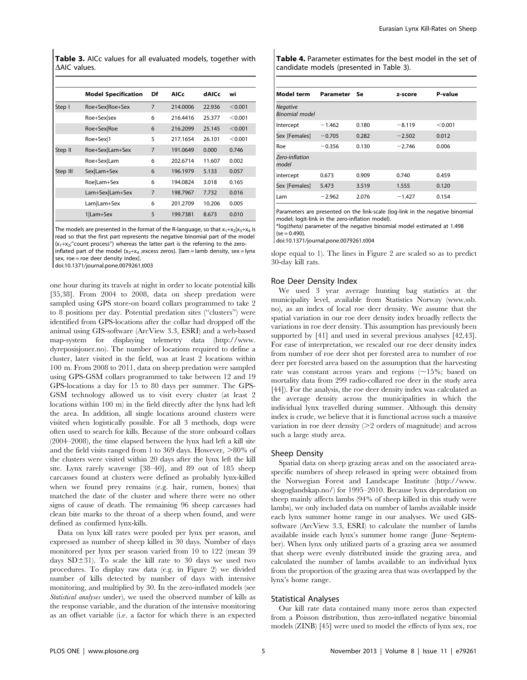Table 3. AICc values for all evaluated models, together with **AAIC** values.

|          | <b>Model Specification</b> | Df | <b>AICc</b> | dAICc  | wi      |
|----------|----------------------------|----|-------------|--------|---------|
| Step I   | Roe+Sex Roe+Sex            | 7  | 214,0006    | 22.936 | < 0.001 |
|          | Roe+Sex sex                | 6  | 216.4416    | 25.377 | < 0.001 |
|          | Roe+Sex Roe                | 6  | 216,2099    | 25.145 | < 0.001 |
|          | Roe+Sex <sup>1</sup>       | 5  | 217.1654    | 26.101 | < 0.001 |
| Step II  | Roe+Sex Lam+Sex            | 7  | 191.0649    | 0.000  | 0.746   |
|          | Roe+Sex Lam                | 6  | 202.6714    | 11.607 | 0.002   |
| Step III | Sex Lam+Sex                | 6  | 196.1979    | 5.133  | 0.057   |
|          | Roe Lam+Sex                | 6  | 194.0824    | 3.018  | 0.165   |
|          | Lam+Sex Lam+Sex            | 7  | 198.7967    | 7.732  | 0.016   |
|          | Lam Lam+Sex                | 6  | 201.2709    | 10.206 | 0.005   |
|          | 1 Lam+Sex                  | 5  | 199.7381    | 8.673  | 0.010   |

The models are presented in the format of the R-language, so that  $x_1+x_2|x_3+x_4|$  is read so that the first part represents the negative binomial part of the model  $(x_1+x_2;''$  count process") whereas the latter part is the referring to the zero-

inflated part of the model  $(x_3+x_4)$ ; excess zeros). [lam = lamb density, sex = lynx sex, roe = roe deer density index].

doi:10.1371/journal.pone.0079261.t003

one hour during its travels at night in order to locate potential kills [35,38]. From 2004 to 2008, data on sheep predation were sampled using GPS store-on board collars programmed to take 2 to 8 positions per day. Potential predation sites (''clusters'') were identified from GPS-locations after the collar had dropped off the animal using GIS-software (ArcView 3.3, ESRI) and a web-based map-system for displaying telemetry data (http://www. dyreposisjoner.no). The number of locations required to define a cluster, later visited in the field, was at least 2 locations within 100 m. From 2008 to 2011, data on sheep predation were sampled using GPS-GSM collars programmed to take between 12 and 19 GPS-locations a day for 15 to 80 days per summer. The GPS-GSM technology allowed us to visit every cluster (at least 2 locations within 100 m) in the field directly after the lynx had left the area. In addition, all single locations around clusters were visited when logistically possible. For all 3 methods, dogs were often used to search for kills. Because of the store onboard collars (2004–2008), the time elapsed between the lynx had left a kill site and the field visits ranged from 1 to 369 days. However,  $>80\%$  of the clusters were visited within 20 days after the lynx left the kill site. Lynx rarely scavenge [38–40], and 89 out of 185 sheep carcasses found at clusters were defined as probably lynx-killed when we found prey remains (e.g. hair, rumen, bones) that matched the date of the cluster and where there were no other signs of cause of death. The remaining 96 sheep carcasses had clean bite marks to the throat of a sheep when found, and were defined as confirmed lynx-kills.

Data on lynx kill rates were pooled per lynx per season, and expressed as number of sheep killed in 30 days. Number of days monitored per lynx per season varied from 10 to 122 (mean 39 days  $SD \pm 31$ ). To scale the kill rate to 30 days we used two procedures. To display raw data (e.g. in Figure 2) we divided number of kills detected by number of days with intensive monitoring, and multiplied by 30. In the zero-inflated models (see Statistical analyses under), we used the observed number of kills as the response variable, and the duration of the intensive monitoring as an offset variable (i.e. a factor for which there is an expected Table 4. Parameter estimates for the best model in the set of candidate models (presented in Table 3).

| Model term                               | Parameter Se |       | z-score  | P-value   |
|------------------------------------------|--------------|-------|----------|-----------|
| <b>Negative</b><br><b>Binomial model</b> |              |       |          |           |
| Intercept                                | $-1.462$     | 0.180 | $-8.119$ | $<$ 0.001 |
| Sex [Females]                            | $-0.705$     | 0.282 | $-2.502$ | 0.012     |
| Roe                                      | $-0.356$     | 0.130 | $-2.746$ | 0.006     |
| Zero-inflation<br>model                  |              |       |          |           |
| intercept                                | 0.673        | 0.909 | 0.740    | 0.459     |
| Sex [Females]                            | 5.473        | 3.519 | 1.555    | 0.120     |
| Lam                                      | $-2.962$     | 2.076 | $-1.427$ | 0.154     |

Parameters are presented on the link-scale (log-link in the negative binomial model; logit-link in the zero-inflation model). \*log(theta) parameter of the negative binomial model estimated at 1.498

 $(se = 0.490)$ .

doi:10.1371/journal.pone.0079261.t004

slope equal to 1). The lines in Figure 2 are scaled so as to predict 30-day kill rats.

#### Roe Deer Density Index

We used 3 year average hunting bag statistics at the municipality level, available from Statistics Norway (www.ssb. no), as an index of local roe deer density. We assume that the spatial variation in our roe deer density index broadly reflects the variations in roe deer density. This assumption has previously been supported by [41] and used in several previous analyses [42,43]. For ease of interpretation, we rescaled our roe deer density index from number of roe deer shot per forested area to number of roe deer per forested area based on the assumption that the harvesting rate was constant across years and regions  $(\sim15\%;$  based on mortality data from 299 radio-collared roe deer in the study area [44]). For the analysis, the roe deer density index was calculated as the average density across the municipalities in which the individual lynx travelled during summer. Although this density index is crude, we believe that it is functional across such a massive variation in roe deer density  $(>= 2$  orders of magnitude) and across such a large study area.

#### Sheep Density

Spatial data on sheep grazing areas and on the associated areaspecific numbers of sheep released in spring were obtained from the Norwegian Forest and Landscape Institute (http://www. skogoglandskap.no/) for 1995–2010. Because lynx depredation on sheep mainly affects lambs (94% of sheep killed in this study were lambs), we only included data on number of lambs available inside each lynx summer home range in our analyses. We used GISsoftware (ArcView 3.3, ESRI) to calculate the number of lambs available inside each lynx's summer home range (June–September). When lynx only utilized parts of a grazing area we assumed that sheep were evenly distributed inside the grazing area, and calculated the number of lambs available to an individual lynx from the proportion of the grazing area that was overlapped by the lynx's home range.

# Statistical Analyses

Our kill rate data contained many more zeros than expected from a Poisson distribution, thus zero-inflated negative binomial models (ZINB) [45] were used to model the effects of lynx sex, roe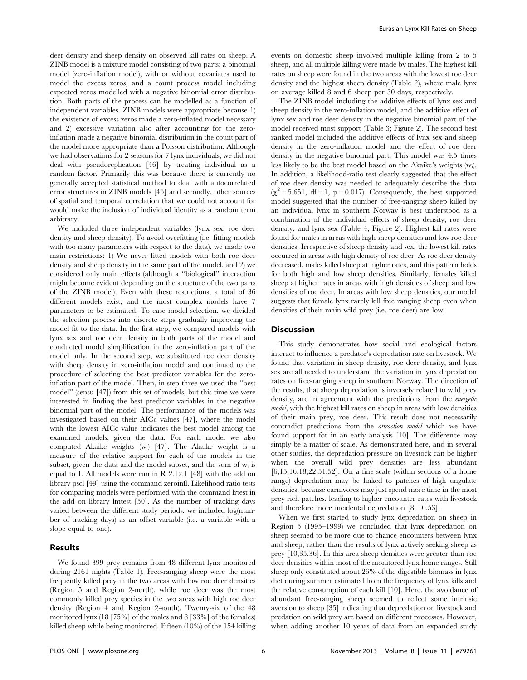deer density and sheep density on observed kill rates on sheep. A ZINB model is a mixture model consisting of two parts; a binomial model (zero-inflation model), with or without covariates used to model the excess zeros, and a count process model including expected zeros modelled with a negative binomial error distribution. Both parts of the process can be modelled as a function of independent variables. ZINB models were appropriate because 1) the existence of excess zeros made a zero-inflated model necessary and 2) excessive variation also after accounting for the zeroinflation made a negative binomial distribution in the count part of the model more appropriate than a Poisson distribution. Although we had observations for 2 seasons for 7 lynx individuals, we did not deal with pseudoreplication [46] by treating individual as a random factor. Primarily this was because there is currently no generally accepted statistical method to deal with autocorrelated error structures in ZINB models [45] and secondly, other sources of spatial and temporal correlation that we could not account for would make the inclusion of individual identity as a random term arbitrary.

We included three independent variables (lynx sex, roe deer density and sheep density). To avoid overfitting (i.e. fitting models with too many parameters with respect to the data), we made two main restrictions: 1) We never fitted models with both roe deer density and sheep density in the same part of the model, and 2) we considered only main effects (although a ''biological'' interaction might become evident depending on the structure of the two parts of the ZINB model). Even with these restrictions, a total of 36 different models exist, and the most complex models have 7 parameters to be estimated. To ease model selection, we divided the selection process into discrete steps gradually improving the model fit to the data. In the first step, we compared models with lynx sex and roe deer density in both parts of the model and conducted model simplification in the zero-inflation part of the model only. In the second step, we substituted roe deer density with sheep density in zero-inflation model and continued to the procedure of selecting the best predictor variables for the zeroinflation part of the model. Then, in step three we used the ''best model'' (sensu [47]) from this set of models, but this time we were interested in finding the best predictor variables in the negative binomial part of the model. The performance of the models was investigated based on their AICc values [47], where the model with the lowest AICc value indicates the best model among the examined models, given the data. For each model we also computed Akaike weights (wi) [47]. The Akaike weight is a measure of the relative support for each of the models in the subset, given the data and the model subset, and the sum of wi is equal to 1. All models were run in R 2.12.1 [48] with the add on library pscl [49] using the command zeroinfl. Likelihood ratio tests for comparing models were performed with the command lrtest in the add on library lmtest [50]. As the number of tracking days varied between the different study periods, we included log(number of tracking days) as an offset variable (i.e. a variable with a slope equal to one).

# Results

We found 399 prey remains from 48 different lynx monitored during 2161 nights (Table 1). Free-ranging sheep were the most frequently killed prey in the two areas with low roe deer densities (Region 5 and Region 2-north), while roe deer was the most commonly killed prey species in the two areas with high roe deer density (Region 4 and Region 2-south). Twenty-six of the 48 monitored lynx (18 [75%] of the males and 8 [33%] of the females) killed sheep while being monitored. Fifteen (10%) of the 154 killing events on domestic sheep involved multiple killing from 2 to 5 sheep, and all multiple killing were made by males. The highest kill rates on sheep were found in the two areas with the lowest roe deer density and the highest sheep density (Table 2), where male lynx on average killed 8 and 6 sheep per 30 days, respectively.

The ZINB model including the additive effects of lynx sex and sheep density in the zero-inflation model, and the additive effect of lynx sex and roe deer density in the negative binomial part of the model received most support (Table 3; Figure 2). The second best ranked model included the additive effects of lynx sex and sheep density in the zero-inflation model and the effect of roe deer density in the negative binomial part. This model was 4.5 times less likely to be the best model based on the Akaike's weights (wi ). In addition, a likelihood-ratio test clearly suggested that the effect of roe deer density was needed to adequately describe the data  $(\chi^2 = 5.651, df = 1, p = 0.017)$ . Consequently, the best supported model suggested that the number of free-ranging sheep killed by an individual lynx in southern Norway is best understood as a combination of the individual effects of sheep density, roe deer density, and lynx sex (Table 4, Figure 2). Highest kill rates were found for males in areas with high sheep densities and low roe deer densities. Irrespective of sheep density and sex, the lowest kill rates occurred in areas with high density of roe deer. As roe deer density decreased, males killed sheep at higher rates, and this pattern holds for both high and low sheep densities. Similarly, females killed sheep at higher rates in areas with high densities of sheep and low densities of roe deer. In areas with low sheep densities, our model suggests that female lynx rarely kill free ranging sheep even when densities of their main wild prey (i.e. roe deer) are low.

#### **Discussion**

This study demonstrates how social and ecological factors interact to influence a predator's depredation rate on livestock. We found that variation in sheep density, roe deer density, and lynx sex are all needed to understand the variation in lynx depredation rates on free-ranging sheep in southern Norway. The direction of the results, that sheep depredation is inversely related to wild prey density, are in agreement with the predictions from the energetic model, with the highest kill rates on sheep in areas with low densities of their main prey, roe deer. This result does not necessarily contradict predictions from the attraction model which we have found support for in an early analysis [10]. The difference may simply be a matter of scale. As demonstrated here, and in several other studies, the depredation pressure on livestock can be higher when the overall wild prey densities are less abundant [6,15,16,18,22,51,52]. On a fine scale (within sections of a home range) depredation may be linked to patches of high ungulate densities, because carnivores may just spend more time in the most prey rich patches, leading to higher encounter rates with livestock and therefore more incidental depredation [8–10,53].

When we first started to study lynx depredation on sheep in Region 5 (1995–1999) we concluded that lynx depredation on sheep seemed to be more due to chance encounters between lynx and sheep, rather than the results of lynx actively seeking sheep as prey [10,35,36]. In this area sheep densities were greater than roe deer densities within most of the monitored lynx home ranges. Still sheep only constituted about 26% of the digestible biomass in lynx diet during summer estimated from the frequency of lynx kills and the relative consumption of each kill [10]. Here, the avoidance of abundant free-ranging sheep seemed to reflect some intrinsic aversion to sheep [35] indicating that depredation on livestock and predation on wild prey are based on different processes. However, when adding another 10 years of data from an expanded study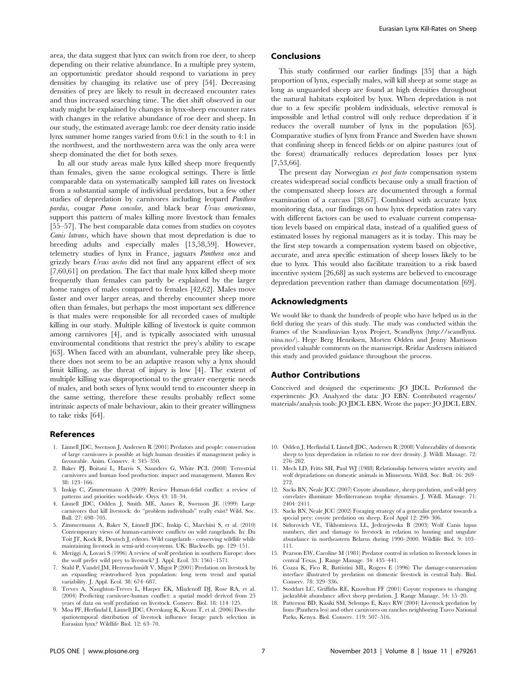area, the data suggest that lynx can switch from roe deer, to sheep depending on their relative abundance. In a multiple prey system, an opportunistic predator should respond to variations in prey densities by changing its relative use of prey [54]. Decreasing densities of prey are likely to result in decreased encounter rates and thus increased searching time. The diet shift observed in our study might be explained by changes in lynx-sheep encounter rates with changes in the relative abundance of roe deer and sheep. In our study, the estimated average lamb: roe deer density ratio inside lynx summer home ranges varied from 0.6:1 in the south to 4:1 in the northwest, and the northwestern area was the only area were sheep dominated the diet for both sexes.

In all our study areas male lynx killed sheep more frequently than females, given the same ecological settings. There is little comparable data on systematically sampled kill rates on livestock from a substantial sample of individual predators, but a few other studies of depredation by carnivores including leopard Panthera pardus, cougar Puma concolor, and black bear Ursus americanus, support this pattern of males killing more livestock than females [55–57]. The best comparable data comes from studies on coyotes Canis latrans, which have shown that most depredation is due to breeding adults and especially males [13,58,59]. However, telemetry studies of lynx in France, jaguars Panthera onca and grizzly bears Ursus arctos did not find any apparent effect of sex [7,60,61] on predation. The fact that male lynx killed sheep more frequently than females can partly be explained by the larger home ranges of males compared to females [42,62]. Males move faster and over larger areas, and thereby encounter sheep more often than females, but perhaps the most important sex difference is that males were responsible for all recorded cases of multiple killing in our study. Multiple killing of livestock is quite common among carnivores [4], and is typically associated with unusual environmental conditions that restrict the prey's ability to escape [63]. When faced with an abundant, vulnerable prey like sheep, there does not seem to be an adaptive reason why a lynx should limit killing, as the threat of injury is low [4]. The extent of multiple killing was disproportional to the greater energetic needs of males, and both sexes of lynx would tend to encounter sheep in the same setting, therefore these results probably reflect some intrinsic aspects of male behaviour, akin to their greater willingness to take risks [64].

# References

- 1. Linnell JDC, Swenson J, Andersen R (2001) Predators and people: conservation of large carnivores is possible at high human densities if management policy is favourable. Anim. Conserv. 4: 345–350.
- 2. Baker PJ, Boitani L, Harris S, Saunders G, White PCL (2008) Terrestrial carnivores and human food production: impact and management. Mamm Rev 38: 123–166.
- 3. Inskip C, Zimmermann A (2009) Review Human-felid conflict: a review of patterns and priorities worldwide. Oryx 43: 18–34.
- 4. Linnell JDC, Odden J, Smith ME, Aanes R, Swenson JE (1999) Large carnivores that kill livestock: do ''problem individuals'' really exist? Wild. Soc. Bull. 27: 698–705.
- 5. Zimmermann A, Baker N, Linnell JDC, Inskip C, Marchini S, et al. (2010) Contemporary views of human-carnivore conflicts on wild rangelands. In: Du Toit JT, Kock R, Deutsch J, editors. Wild rangelands - conserving wildlife while maintaining livestock in semi-arid ecosystems. UK: Blackwells. pp. 129–151.
- 6. Meriggi A, Lovari S (1996) A review of wolf predation in southern Europe: does the wolf prefer wild prey to livestock? J. Appl. Ecol. 33: 1561–1571.
- 7. Stahl P, Vandel JM, Herrenschmidt V, Migot P (2001) Predation on livestock by an expanding reintroduced lynx population: long term trend and spatial variability. J. Appl. Ecol. 38: 674–687.
- 8. Treves A, Naughton-Treves L, Harper EK, Mladenoff DJ, Rose RA, et al. (2004) Predicting carnivore-human conflict: a spatial model derived from 25 years of data on wolf predation on livestock. Conserv. Biol. 18: 114–125.
- 9. Moa PF, Herfindal I, Linnell JDC, Overskaug K, Kvam T, et al. (2006) Does the spatiotemporal distribution of livestock influence forage patch selection in Eurasian lynx? Wildlife Biol. 12: 63–70.

## Conclusions

This study confirmed our earlier findings [35] that a high proportion of lynx, especially males, will kill sheep at some stage as long as unguarded sheep are found at high densities throughout the natural habitats exploited by lynx. When depredation is not due to a few specific problem individuals, selective removal is impossible and lethal control will only reduce depredation if it reduces the overall number of lynx in the population [65]. Comparative studies of lynx from France and Sweden have shown that confining sheep in fenced fields or on alpine pastures (out of the forest) dramatically reduces depredation losses per lynx [7,53,66].

The present day Norwegian ex post facto compensation system creates widespread social conflicts because only a small fraction of the compensated sheep losses are documented through a formal examination of a carcass [38,67]. Combined with accurate lynx monitoring data, our findings on how lynx depredation rates vary with different factors can be used to evaluate current compensation levels based on empirical data, instead of a qualified guess of estimated losses by regional managers as it is today. This may be the first step towards a compensation system based on objective, accurate, and area specific estimation of sheep losses likely to be due to lynx. This would also facilitate transition to a risk based incentive system [26,68] as such systems are believed to encourage depredation prevention rather than damage documentation [69].

# Acknowledgments

We would like to thank the hundreds of people who have helped us in the field during the years of this study. The study was conducted within the frames of the Scandinavian Lynx Project, Scandlynx (http://scandlynx. nina.no/). Hege Berg Henriksen, Morten Odden and Jenny Mattisson provided valuable comments on the manuscript. Reidar Andersen initiated this study and provided guidance throughout the process.

# Author Contributions

Conceived and designed the experiments: JO JDCL. Performed the experiments: JO. Analyzed the data: JO EBN. Contributed reagents/ materials/analysis tools: JO JDCL EBN. Wrote the paper: JO JDCL EBN.

- 10. Odden J, Herfindal I, Linnell JDC, Andersen R (2008) Vulnerability of domestic sheep to lynx depredation in relation to roe deer density. J. Wildl. Manage. 72: 276–282.
- 11. Mech LD, Fritts SH, Paul WJ (1988) Relationship between winter severity and wolf depradations on domestic animals in Minnesota. Wildl. Soc. Bull. 16: 269– 979
- 12. Sacks BN, Neale JCC (2007) Coyote abundance, sheep predation, and wild prey correlates illuminate Mediterranean trophic dynamics. J. Wildl. Manage. 71: 2404–2411.
- 13. Sacks BN, Neale JCC (2002) Foraging strategy of a generalist predator towards a special prey: coyote predation on sheep. Ecol Appl 12: 299–306.
- 14. Sidorovich VE, Tikhomirova LL, Jedrzejewska B (2003) Wolf Canis lupus numbers, diet and damage to livestock in relation to hunting and ungulate abundance in northeastern Belarus during 1990–2000. Wildlife Biol. 9: 103– 111.
- 15. Pearson EW, Caroline M (1981) Predator control in relation to livestock losses in central Texas. J. Range Manage. 34: 435–441.
- 16. Cozza K, Fico R, Battistini ML, Rogers E (1996) The damage-conservation interface illustrated by predation on domestic livestock in central Italy. Biol. Conserv. 78: 329–336.
- 17. Stoddart LC, Griffiths RE, Knowlton FF (2001) Coyote responses to changing jackrabbit abundance affect sheep predation. J. Range Manage. 54: 15–20.
- 18. Patterson BD, Kasiki SM, Selempo E, Kays RW (2004) Livestock predation by lions (Panthera leo) and other carnivores on ranches neighboring Tsavo National Parks, Kenya. Biol. Conserv. 119: 507–516.